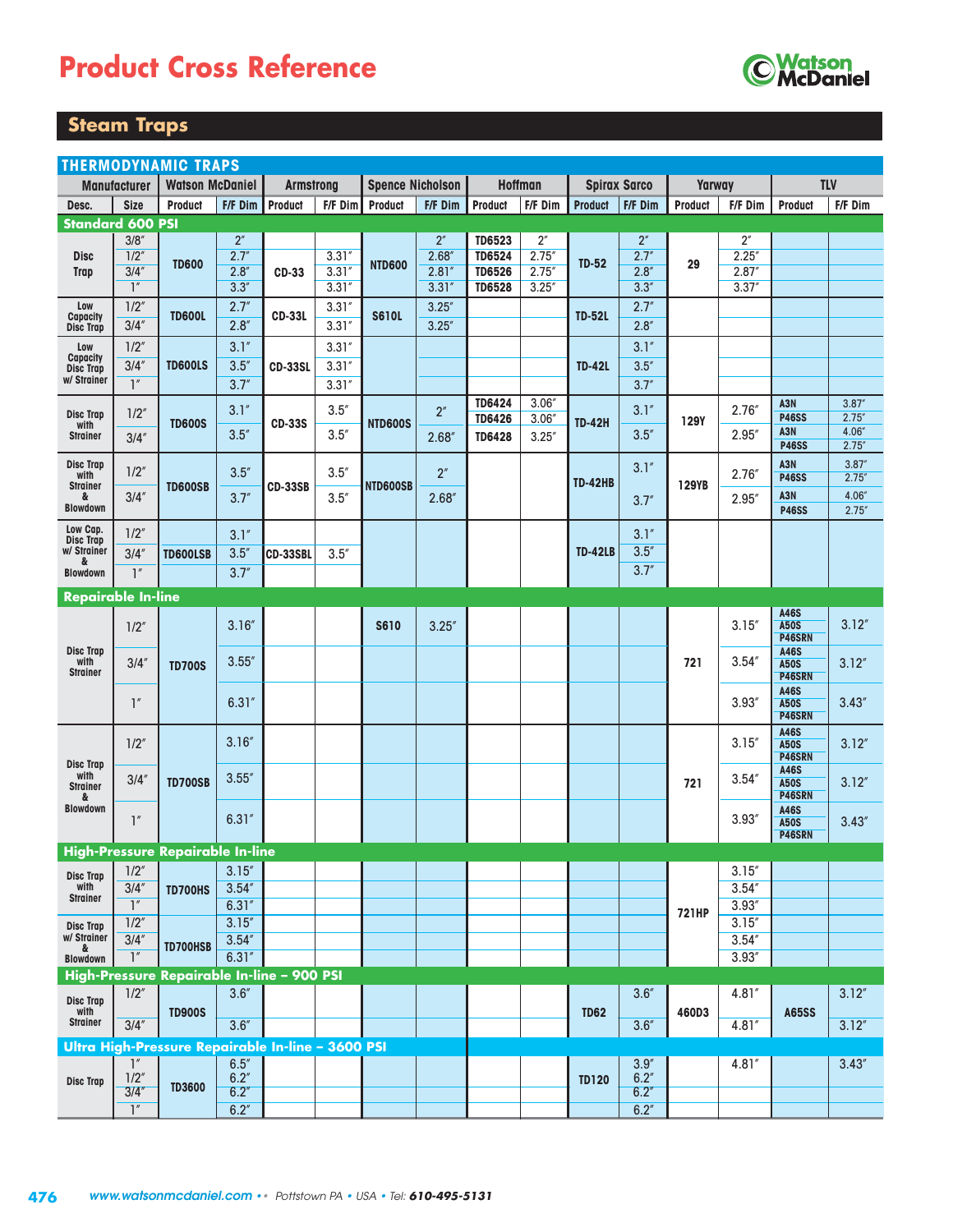# **Product Cross Reference**



#### **Steam Traps**

|                                 | <b>THERMODYNAMIC TRAPS</b> |                                                   |                 |                  |         |                         |                 |                |                   |                |                     |                |                    |                       |                  |
|---------------------------------|----------------------------|---------------------------------------------------|-----------------|------------------|---------|-------------------------|-----------------|----------------|-------------------|----------------|---------------------|----------------|--------------------|-----------------------|------------------|
|                                 | <b>Manufacturer</b>        | <b>Watson McDaniel</b>                            |                 | <b>Armstrong</b> |         | <b>Spence Nicholson</b> |                 |                | <b>Hoffman</b>    |                | <b>Spirax Sarco</b> | Yarway         |                    |                       | <b>TLV</b>       |
| Desc.                           | <b>Size</b>                | <b>Product</b>                                    | F/F Dim         | Product          | F/F Dim | Product                 | F/F Dim         | <b>Product</b> | F/F Dim           | <b>Product</b> | F/F Dim             | <b>Product</b> | F/F Dim            | <b>Product</b>        | F/F Dim          |
| <b>Standard 600 PSI</b>         |                            |                                                   |                 |                  |         |                         |                 |                |                   |                |                     |                |                    |                       |                  |
|                                 | 3/8''                      |                                                   | 2 <sup>''</sup> |                  |         |                         | 2 <sup>''</sup> | <b>TD6523</b>  | 2 <sup>''</sup>   |                | 2 <sup>''</sup>     |                | $2^{\prime\prime}$ |                       |                  |
| <b>Disc</b>                     | $1/2$ "                    | <b>TD600</b>                                      | 2.7''           |                  | 3.31''  | <b>NTD600</b>           | 2.68''          | <b>TD6524</b>  | 2.75''            | <b>TD-52</b>   | 2.7''               | 29             | 2.25''             |                       |                  |
| Trap                            | 3/4''                      |                                                   | 2.8''           | <b>CD-33</b>     | 3.31''  |                         | 2.81''          | <b>TD6526</b>  | 2.75''            |                | 2.8''               |                | 2.87''             |                       |                  |
|                                 | $\mathbb{I}''$             |                                                   | 3.3''           |                  | 3.31''  |                         | 3.31''          | <b>TD6528</b>  | 3.25''            |                | 3.3''               |                | 3.37''             |                       |                  |
| Low<br><b>Capacity</b>          | 1/2''                      | <b>TD600L</b>                                     | 2.7''           | <b>CD-33L</b>    | 3.31''  | <b>S610L</b>            | 3.25''          |                |                   | <b>TD-52L</b>  | 2.7''               |                |                    |                       |                  |
| <b>Disc Trap</b>                | 3/4''                      |                                                   | 2.8''           |                  | 3.31''  |                         | 3.25''          |                |                   |                | 2.8''               |                |                    |                       |                  |
| Low                             | 1/2''                      |                                                   | 3.1''           |                  | 3.31''  |                         |                 |                |                   |                | 3.1''               |                |                    |                       |                  |
| Capacity<br><b>Disc Trap</b>    | 3/4''                      | <b>TD600LS</b>                                    | 3.5''           | <b>CD-33SL</b>   | 3.31''  |                         |                 |                |                   | <b>TD-42L</b>  | 3.5''               |                |                    |                       |                  |
| w/ Strainer                     | $\mathbb{I}''$             |                                                   | 3.7''           |                  | 3.31''  |                         |                 |                |                   |                | 3.7''               |                |                    |                       |                  |
|                                 |                            |                                                   |                 |                  |         |                         |                 | <b>TD6424</b>  | 3.06''            |                |                     |                |                    | A3N                   | 3.87''           |
| <b>Disc Trap</b><br>with        | 1/2''                      | <b>TD600S</b>                                     | 3.1''           | <b>CD-33S</b>    | 3.5''   | <b>NTD600S</b>          | 2''             | <b>TD6426</b>  | 3.06 <sup>4</sup> | <b>TD-42H</b>  | 3.1''               | <b>129Y</b>    | 2.76''             | <b>P46SS</b>          | 2.75''           |
| <b>Strainer</b>                 | 3/4''                      |                                                   | 3.5''           |                  | 3.5''   |                         | 2.68''          | <b>TD6428</b>  | 3.25''            |                | 3.5''               |                | 2.95''             | A3N                   | 4.06"            |
|                                 |                            |                                                   |                 |                  |         |                         |                 |                |                   |                |                     |                |                    | <b>P46SS</b>          | 2.75'            |
| <b>Disc Trap</b><br>with        | 1/2''                      |                                                   | 3.5''           |                  | 3.5''   |                         | 2 <sup>''</sup> |                |                   |                | 3.1''               |                | 2.76''             | A3N<br><b>P46SS</b>   | 3.87''<br>2.75'' |
| <b>Strainer</b><br>&            | 3/4''                      | <b>TD600SB</b>                                    | 3.7''           | <b>CD-33SB</b>   | 3.5''   | NTD600SB                | 2.68''          |                |                   | <b>TD-42HB</b> |                     | <b>129YB</b>   | 2.95''             | A3N                   | 4.06"            |
| <b>Blowdown</b>                 |                            |                                                   |                 |                  |         |                         |                 |                |                   |                | 3.7''               |                |                    | <b>P46SS</b>          | 2.75''           |
| Low Cap.                        | 1/2''                      |                                                   | 3.1''           |                  |         |                         |                 |                |                   |                | 3.1''               |                |                    |                       |                  |
| <b>Disc Trap</b><br>w/ Strainer | 3/4''                      | <b>TD600LSB</b>                                   | 3.5''           |                  | 3.5''   |                         |                 |                |                   | <b>TD-42LB</b> | 3.5''               |                |                    |                       |                  |
| &                               | 1''                        |                                                   | 3.7''           | CD-33SBL         |         |                         |                 |                |                   |                | 3.7''               |                |                    |                       |                  |
| <b>Blowdown</b>                 |                            |                                                   |                 |                  |         |                         |                 |                |                   |                |                     |                |                    |                       |                  |
| <b>Repairable In-line</b>       |                            |                                                   |                 |                  |         |                         |                 |                |                   |                |                     |                |                    |                       |                  |
|                                 | 1/2''                      |                                                   | 3.16''          |                  |         | <b>S610</b>             | 3.25''          |                |                   |                |                     |                | 3.15''             | A46S<br><b>A50S</b>   | 3.12''           |
|                                 |                            |                                                   |                 |                  |         |                         |                 |                |                   |                |                     |                |                    | P46SRN                |                  |
| <b>Disc Trap</b><br>with        | 3/4''                      |                                                   | 3.55''          |                  |         |                         |                 |                |                   |                |                     | 721            | 3.54''             | A46S<br><b>A50S</b>   | 3.12''           |
| <b>Strainer</b>                 |                            | <b>TD700S</b>                                     |                 |                  |         |                         |                 |                |                   |                |                     |                |                    | P46SRN                |                  |
|                                 |                            |                                                   |                 |                  |         |                         |                 |                |                   |                |                     |                |                    | A46S                  |                  |
|                                 | 1''                        |                                                   | 6.31''          |                  |         |                         |                 |                |                   |                |                     |                | 3.93''             | <b>A50S</b><br>P46SRN | 3.43''           |
|                                 |                            |                                                   |                 |                  |         |                         |                 |                |                   |                |                     |                |                    | A46S                  |                  |
|                                 | 1/2''                      |                                                   | 3.16''          |                  |         |                         |                 |                |                   |                |                     |                | 3.15''             | <b>A50S</b>           | 3.12''           |
| <b>Disc Trap</b>                |                            |                                                   |                 |                  |         |                         |                 |                |                   |                |                     |                |                    | P46SRN<br>A46S        |                  |
| with<br><b>Strainer</b>         | 3/4''                      | <b>TD700SB</b>                                    | 3.55''          |                  |         |                         |                 |                |                   |                |                     | 721            | 3.54''             | <b>A50S</b>           | 3.12''           |
| &<br><b>Blowdown</b>            |                            |                                                   |                 |                  |         |                         |                 |                |                   |                |                     |                |                    | P46SRN<br>A46S        |                  |
|                                 | 1''                        |                                                   | 6.31''          |                  |         |                         |                 |                |                   |                |                     |                | 3.93''             | <b>A50S</b>           | 3.43''           |
|                                 |                            |                                                   |                 |                  |         |                         |                 |                |                   |                |                     |                |                    | P46SRN                |                  |
|                                 |                            | <b>High-Pressure Repairable In-line</b>           |                 |                  |         |                         |                 |                |                   |                |                     |                |                    |                       |                  |
| <b>Disc Trap</b>                | 1/2''                      |                                                   | 3.15''          |                  |         |                         |                 |                |                   |                |                     |                | 3.15''             |                       |                  |
| with<br><b>Strainer</b>         | 3/4''                      | <b>TD700HS</b>                                    | 3.54''          |                  |         |                         |                 |                |                   |                |                     |                | 3.54''             |                       |                  |
|                                 | $\mathbb{I}''$             |                                                   | 6.31''          |                  |         |                         |                 |                |                   |                |                     | <b>721HP</b>   | 3.93''             |                       |                  |
| <b>Disc Trap</b>                | 1/2''                      |                                                   | 3.15''          |                  |         |                         |                 |                |                   |                |                     |                | 3.15''             |                       |                  |
| w/ Strainer<br>&                | 3/4''                      | TD700HSB                                          | 3.54''          |                  |         |                         |                 |                |                   |                |                     |                | 3.54''             |                       |                  |
| <b>Blowdown</b>                 | $\overline{\mathcal{L}}$   |                                                   | 6.31''          |                  |         |                         |                 |                |                   |                |                     |                | 3.93''             |                       |                  |
|                                 |                            | High-Pressure Repairable In-line - 900 PSI        | 3.6''           |                  |         |                         |                 |                |                   |                | 3.6''               |                |                    |                       |                  |
| Disc Trap<br>with               | 1/2''                      |                                                   |                 |                  |         |                         |                 |                |                   |                |                     |                | 4.81"              |                       | 3.12''           |
| <b>Strainer</b>                 | 3/4''                      | <b>TD900S</b>                                     | 3.6''           |                  |         |                         |                 |                |                   | <b>TD62</b>    | 3.6''               | 460D3          | 4.81''             | <b>A65SS</b>          | 3.12''           |
|                                 |                            | Ultra High-Pressure Repairable In-line - 3600 PSI |                 |                  |         |                         |                 |                |                   |                |                     |                |                    |                       |                  |
|                                 | $\mathbb{I}''$             |                                                   | 6.5''           |                  |         |                         |                 |                |                   |                | 3.9''               |                | 4.81''             |                       | 3.43''           |
| <b>Disc Trap</b>                | 1/2''                      |                                                   | 6.2''           |                  |         |                         |                 |                |                   | <b>TD120</b>   | 6.2''               |                |                    |                       |                  |
|                                 | 3/4''                      | <b>TD3600</b>                                     | 6.2''           |                  |         |                         |                 |                |                   |                | 6.2''               |                |                    |                       |                  |
|                                 | $\overline{1}''$           |                                                   | 6.2''           |                  |         |                         |                 |                |                   |                | 6.2''               |                |                    |                       |                  |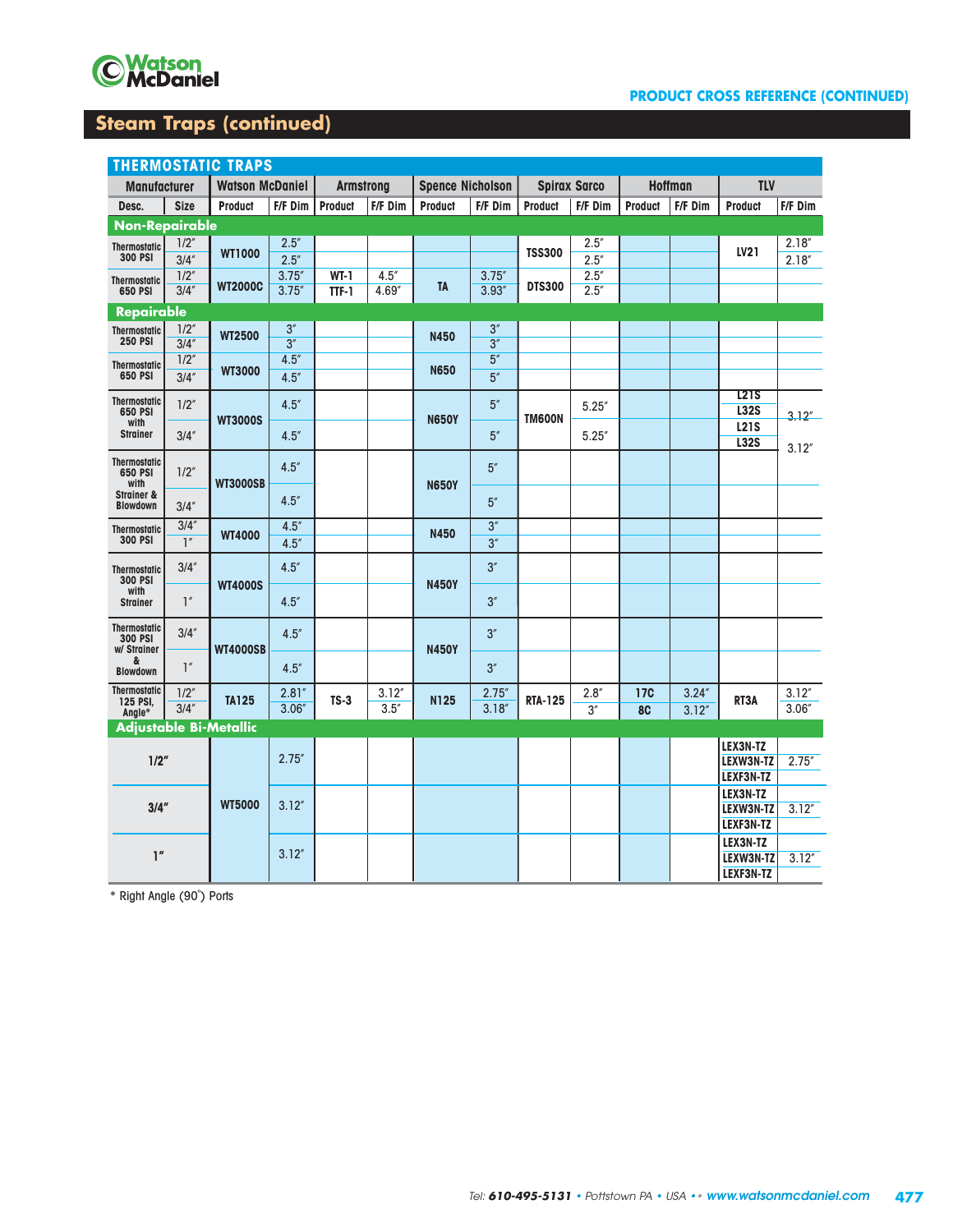

#### **PRODUCT CROSS REFERENCE (CONTINUED)**

#### **Steam Traps (continued)**

|                                         | <b>THERMOSTATIC TRAPS</b> |                        |                  |                  |                 |                         |                  |                |                     |                |                |                       |                  |
|-----------------------------------------|---------------------------|------------------------|------------------|------------------|-----------------|-------------------------|------------------|----------------|---------------------|----------------|----------------|-----------------------|------------------|
| <b>Manufacturer</b>                     |                           | <b>Watson McDaniel</b> |                  | <b>Armstrong</b> |                 | <b>Spence Nicholson</b> |                  |                | <b>Spirax Sarco</b> |                | <b>Hoffman</b> | <b>TLV</b>            |                  |
| Desc.                                   | <b>Size</b>               | <b>Product</b>         | F/F Dim          | <b>Product</b>   | F/F Dim         | <b>Product</b>          | F/F Dim          | <b>Product</b> | F/F Dim             | <b>Product</b> | F/F Dim        | <b>Product</b>        | F/F Dim          |
| <b>Non-Repairable</b>                   |                           |                        |                  |                  |                 |                         |                  |                |                     |                |                |                       |                  |
| <b>Thermostatic</b>                     | 1/2''                     | <b>WT1000</b>          | 2.5''            |                  |                 |                         |                  | <b>TSS300</b>  | 2.5''               |                |                | LV21                  | 2.18''           |
| <b>300 PSI</b>                          | 3/4''                     |                        | 2.5''            |                  |                 |                         |                  |                | 2.5''               |                |                |                       | 2.18''           |
| <b>Thermostatic</b>                     | 1/2''<br>3/4''            | <b>WT2000C</b>         | 3.75''<br>3.75'' | $WT-1$           | 4.5''<br>4.69'' | <b>TA</b>               | 3.75''<br>3.93'' | <b>DTS300</b>  | 2.5''<br>2.5''      |                |                |                       |                  |
| 650 PSI                                 |                           |                        |                  | TTF-1            |                 |                         |                  |                |                     |                |                |                       |                  |
| <b>Repairable</b>                       | 1/2''                     |                        | 3''              |                  |                 |                         | 3''              |                |                     |                |                |                       |                  |
| <b>Thermostatic</b><br><b>250 PSI</b>   | 3/4''                     | <b>WT2500</b>          | 3''              |                  |                 | <b>N450</b>             | 3''              |                |                     |                |                |                       |                  |
| <b>Thermostatic</b>                     | 1/2''                     |                        | 4.5''            |                  |                 |                         | 5''              |                |                     |                |                |                       |                  |
| 650 PSI                                 | 3/4''                     | <b>WT3000</b>          | 4.5''            |                  |                 | <b>N650</b>             | 5''              |                |                     |                |                |                       |                  |
| <b>Thermostatic</b>                     | 1/2''                     |                        | 4.5''            |                  |                 |                         | 5''              |                |                     |                |                | <u>1215</u>           |                  |
| 650 PSI<br>with                         |                           | <b>WT3000S</b>         |                  |                  |                 | <b>N650Y</b>            |                  | <b>TM600N</b>  | 5.25''              |                |                | <b>L32S</b>           | 3.12''           |
| <b>Strainer</b>                         | 3/4''                     |                        | 4.5''            |                  |                 |                         | 5''              |                | 5.25''              |                |                | <b>L21S</b>           |                  |
|                                         |                           |                        |                  |                  |                 |                         |                  |                |                     |                |                | <b>L32S</b>           | 3.12''           |
| <b>Thermostatic</b><br>650 PSI          | 1/2''                     |                        | 4.5''            |                  |                 |                         | 5''              |                |                     |                |                |                       |                  |
| with<br><b>Strainer &amp;</b>           |                           | <b>WT3000SB</b>        |                  |                  |                 | <b>N650Y</b>            |                  |                |                     |                |                |                       |                  |
| <b>Blowdown</b>                         | 3/4''                     |                        | 4.5''            |                  |                 |                         | 5''              |                |                     |                |                |                       |                  |
| <b>Thermostatic</b>                     | 3/4''                     | <b>WT4000</b>          | 4.5''            |                  |                 | N450                    | 3''              |                |                     |                |                |                       |                  |
| <b>300 PSI</b>                          | $\overline{1}$            |                        | 4.5''            |                  |                 |                         | 3''              |                |                     |                |                |                       |                  |
| <b>Thermostatic</b>                     | 3/4''                     |                        | 4.5''            |                  |                 |                         | 3''              |                |                     |                |                |                       |                  |
| <b>300 PSI</b><br>with                  |                           | <b>WT4000S</b>         |                  |                  |                 | <b>N450Y</b>            |                  |                |                     |                |                |                       |                  |
| <b>Strainer</b>                         | $\mathbb{I}''$            |                        | 4.5''            |                  |                 |                         | 3''              |                |                     |                |                |                       |                  |
| <b>Thermostatic</b>                     | 3/4''                     |                        |                  |                  |                 |                         |                  |                |                     |                |                |                       |                  |
| <b>300 PSI</b><br>w/ Strainer           |                           | <b>WT4000SB</b>        | 4.5''            |                  |                 | <b>N450Y</b>            | 3''              |                |                     |                |                |                       |                  |
| &                                       | $\mathbb{I}''$            |                        | 4.5''            |                  |                 |                         | 3''              |                |                     |                |                |                       |                  |
| <b>Blowdown</b>                         |                           |                        |                  |                  |                 |                         |                  |                |                     |                |                |                       |                  |
| <b>Thermostatic</b><br>125 PSI,         | 1/2''<br>3/4''            | <b>TA125</b>           | 2.81''<br>3.06'' | $TS-3$           | 3.12''<br>3.5'' | <b>N125</b>             | 2.75''           | <b>RTA-125</b> | 2.8''               | <b>17C</b>     | 3.24''         | RT3A                  | 3.12''<br>3.06'' |
| Angle*<br><b>Adjustable Bi-Metallic</b> |                           |                        |                  |                  |                 |                         | 3.18''           |                | 3''                 | 8C             | 3.12''         |                       |                  |
|                                         |                           |                        |                  |                  |                 |                         |                  |                |                     |                |                | LEX3N-TZ              |                  |
| 1/2"                                    |                           |                        | 2.75''           |                  |                 |                         |                  |                |                     |                |                | LEXW3N-TZ             | 2.75''           |
|                                         |                           |                        |                  |                  |                 |                         |                  |                |                     |                |                | LEXF3N-TZ             |                  |
|                                         |                           |                        |                  |                  |                 |                         |                  |                |                     |                |                | LEX3N-TZ              |                  |
| 3/4''                                   |                           | <b>WT5000</b>          | 3.12''           |                  |                 |                         |                  |                |                     |                |                | LEXW3N-TZ             | 3.12''           |
|                                         |                           |                        |                  |                  |                 |                         |                  |                |                     |                |                | LEXF3N-TZ             |                  |
| 1''                                     |                           |                        | 3.12''           |                  |                 |                         |                  |                |                     |                |                | LEX3N-TZ<br>LEXW3N-TZ | 3.12''           |
|                                         |                           |                        |                  |                  |                 |                         |                  |                |                     |                |                | LEXF3N-TZ             |                  |

\* Right Angle (90˚) Ports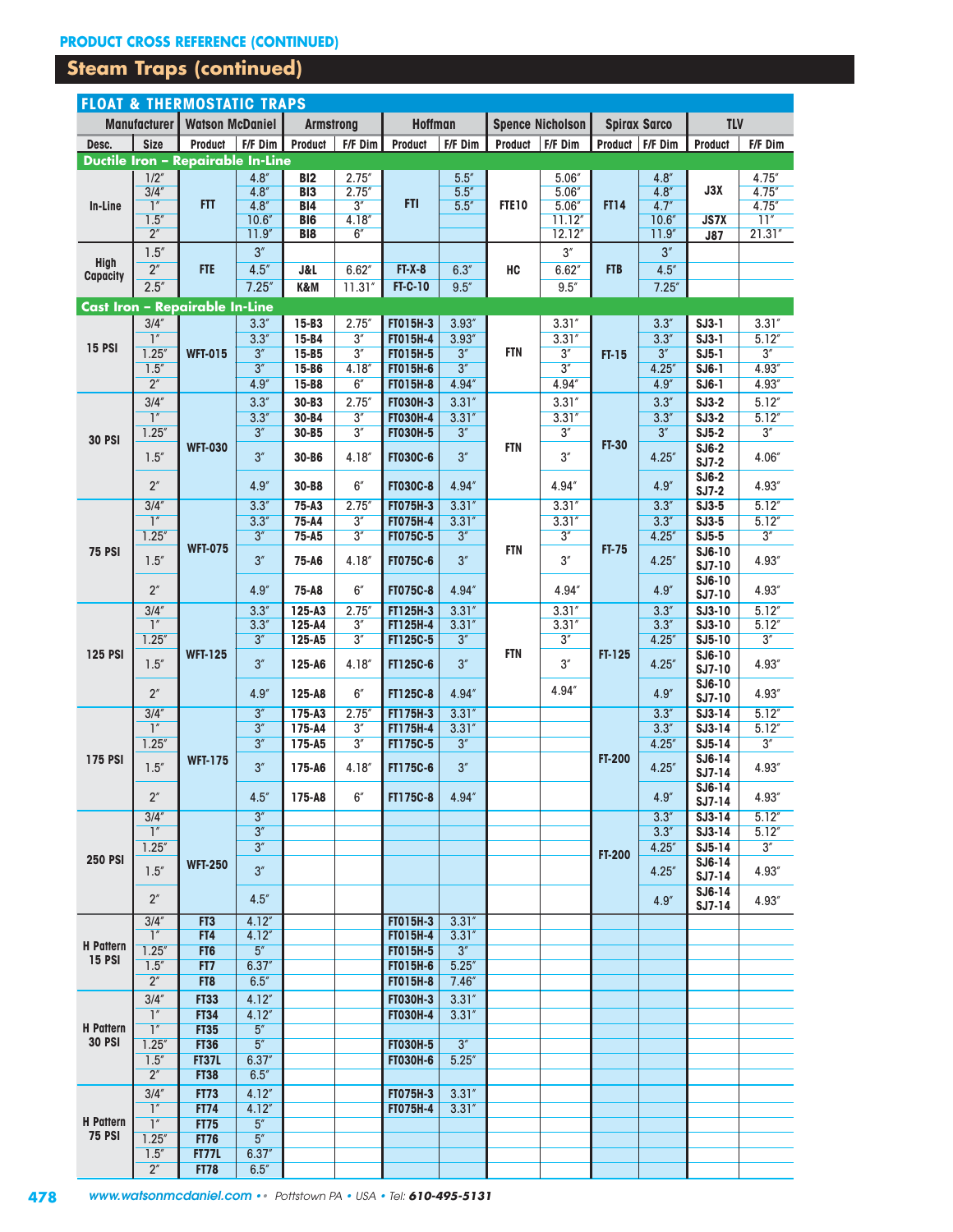### **Steam Traps (continued)**

|                  |                                                 | <b>FLOAT &amp; THERMOSTATIC TRAPS</b>    |                  |                          |                   |                                    |                  |                |                         |               |                     |                      |                  |
|------------------|-------------------------------------------------|------------------------------------------|------------------|--------------------------|-------------------|------------------------------------|------------------|----------------|-------------------------|---------------|---------------------|----------------------|------------------|
|                  | Manufacturer                                    | <b>Watson McDaniel</b>                   |                  | <b>Armstrong</b>         |                   | <b>Hoffman</b>                     |                  |                | <b>Spence Nicholson</b> |               | <b>Spirax Sarco</b> | <b>TLV</b>           |                  |
| Desc.            | <b>Size</b>                                     | <b>Product</b>                           | F/F Dim          | <b>Product</b>           | F/F Dim           | <b>Product</b>                     | F/F Dim          | <b>Product</b> | F/F Dim                 |               | Product   F/F Dim   | <b>Product</b>       | F/F Dim          |
|                  |                                                 | <b>Ductile Iron - Repairable In-Line</b> |                  |                          |                   |                                    |                  |                |                         |               |                     |                      |                  |
|                  | 1/2''                                           |                                          | 4.8''            | B12                      | 2.75''            |                                    | 5.5''            |                | 5.06''                  |               | 4.8''               |                      | 4.75"            |
|                  | 3/4                                             |                                          | 4.8''            | BI <sub>3</sub>          | 2.75''            |                                    | 5.5''            |                | 5.06''                  |               | 4.8''               | J3X                  | 4.75''           |
| In-Line          | $\overline{\mathbf{1}}^n$                       | <b>FTT</b>                               | 4.8''            | BI4                      | 3''               | <b>FTI</b>                         | 5.5''            | <b>FTE10</b>   | 5.06''                  | <b>FT14</b>   | 4.7''               |                      | 4.75''           |
|                  | 1.5''<br>2 <sup>''</sup>                        |                                          | 10.6''<br>11.9'' | <b>BI6</b><br><b>BI8</b> | 4.18''<br>6''     |                                    |                  |                | 11.12''<br>12.12''      |               | 10.6''<br>11.9''    | <b>JS7X</b>          | 11''<br>21.31''  |
|                  | 1.5''                                           |                                          | 3''              |                          |                   |                                    |                  |                | 3''                     |               | 3''                 | <b>J87</b>           |                  |
| <b>High</b>      | 2 <sup>''</sup>                                 | <b>FTE</b>                               |                  |                          |                   |                                    |                  |                |                         | <b>FTB</b>    |                     |                      |                  |
| Capacity         | 2.5''                                           |                                          | 4.5''            | <b>J&amp;L</b>           | 6.62''            | $FT-X-8$                           | 6.3''            | HC             | 6.62''                  |               | 4.5''               |                      |                  |
|                  |                                                 |                                          | 7.25''           | K&M                      | 11.31''           | <b>FT-C-10</b>                     | 9.5''            |                | 9.5''                   |               | 7.25''              |                      |                  |
|                  |                                                 | Cast Iron - Repairable In-Line           |                  |                          |                   |                                    |                  |                |                         |               |                     |                      |                  |
|                  | 3/4''<br>1 <sup>''</sup>                        |                                          | 3.3''            | 15-B3                    | 2.75''            | FT015H-3                           | 3.93''           |                | 3.31''                  |               | 3.3''               | $SJ3-1$              | 3.31''           |
| <b>15 PSI</b>    | 1.25''                                          | <b>WFT-015</b>                           | 3.3''<br>3''     | 15-B4<br>15-B5           | 3''<br>3''        | <b>FT015H-4</b><br><b>FT015H-5</b> | 3.93''<br>3''    | <b>FTN</b>     | 3.31''<br>3''           |               | 3.3''<br>3''        | $SJ3-1$<br>$SJ5-1$   | 5.12''<br>3''    |
|                  | 1.5''                                           |                                          | 3''              | 15-B6                    | 4.18''            | FT015H-6                           | 3''              |                | 3''                     | $FT-15$       | 4.25''              | $SJ6-1$              | 4.93"            |
|                  | 2 <sup>''</sup>                                 |                                          | 4.9''            | 15-B8                    | 6''               | <b>FT015H-8</b>                    | 4.94''           |                | 4.94''                  |               | 4.9''               | $SJ6-1$              | 4.93''           |
|                  | 3/4''                                           |                                          | 3.3''            | 30-B3                    | 2.75''            | <b>FT030H-3</b>                    | 3.31''           |                | 3.31''                  |               | 3.3''               | $SJ3-2$              | 5.12''           |
|                  | $\overline{\mathcal{L}}$                        |                                          | 3.3''            | 30-B4                    | 3''               | <b>FT030H-4</b>                    | 3.31''           |                | 3.31''                  |               | 3.3''               | $SJ3-2$              | 5.12''           |
|                  | 1.25''                                          |                                          | 3''              | 30-B5                    | 3''               | <b>FT030H-5</b>                    | 3''              |                | 3''                     |               | 3''                 | $SJ5-2$              | 3''              |
| <b>30 PSI</b>    |                                                 | <b>WFT-030</b>                           |                  |                          |                   |                                    |                  | <b>FTN</b>     |                         | <b>FT-30</b>  |                     | $SJ6-2$              |                  |
|                  | 1.5''                                           |                                          | 3''              | 30-B6                    | 4.18 <sup>4</sup> | <b>FT030C-6</b>                    | 3''              |                | 3''                     |               | 4.25''              | $SJ7-2$              | 4.06"            |
|                  | 2 <sup>''</sup>                                 |                                          | 4.9''            | 30-B8                    | 6''               | <b>FT030C-8</b>                    | 4.94''           |                | 4.94"                   |               | 4.9''               | $SJ6-2$              | 4.93"            |
|                  | 3/4''                                           |                                          | 3.3''            | $75 - A3$                | 2.75''            | <b>FT075H-3</b>                    | 3.31''           |                | 3.31''                  |               | 3.3''               | $SJ7-2$<br>$SJ3-5$   | 5.12''           |
|                  | $\overline{1}$                                  |                                          | 3.3''            | 75-A4                    | 3''               | <b>FT075H-4</b>                    | 3.31''           |                | 3.31''                  |               | 3.3''               | $SJ3-5$              | 5.12''           |
|                  | 1.25''                                          |                                          | 3''              | $75 - A5$                | 3''               | <b>FT075C-5</b>                    | 3''              |                | 3''                     |               | 4.25''              | $SJ5-5$              | 3''              |
| <b>75 PSI</b>    |                                                 | <b>WFT-075</b>                           |                  |                          |                   |                                    |                  | <b>FTN</b>     |                         | <b>FT-75</b>  |                     | SJ6-10               |                  |
|                  | $1.5''$                                         |                                          | 3''              | 75-A6                    | 4.18''            | <b>FT075C-6</b>                    | 3''              |                | 3''                     |               | 4.25''              | SJ7-10               | 4.93"            |
|                  | 2 <sup>''</sup>                                 |                                          | 4.9''            | 75-A8                    | 6''               | <b>FT075C-8</b>                    | 4.94"            |                | 4.94"                   |               | 4.9''               | SJ6-10               | 4.93"            |
|                  |                                                 |                                          |                  |                          |                   |                                    |                  |                |                         |               |                     | SJ7-10               |                  |
|                  | 3/4''<br>$\overline{\ }$                        |                                          | 3.3''<br>3.3''   | $125 - A3$<br>125-A4     | 2.75''<br>3''     | FT125H-3<br>FT125H-4               | 3.31''<br>3.31'' |                | 3.31''<br>3.31''        |               | 3.3''<br>3.3''      | SJ3-10<br>SJ3-10     | 5.12''<br>5.12'' |
|                  | 1.25''                                          |                                          | 3''              | $125 - A5$               | 3''               | FT125C-5                           | 3''              |                | 3''                     |               | 4.25''              | $SJ5-10$             | 3''              |
| <b>125 PSI</b>   |                                                 | <b>WFT-125</b>                           |                  |                          |                   |                                    |                  | <b>FTN</b>     |                         | FT-125        |                     | SJ6-10               |                  |
|                  | 1.5''                                           |                                          | 3''              | 125-A6                   | 4.18''            | FT125C-6                           | 3''              |                | 3''                     |               | 4.25''              | SJ7-10               | 4.93"            |
|                  | 2 <sup>''</sup>                                 |                                          | 4.9''            | 125-A8                   | 6''               | FT125C-8                           | 4.94"            |                | 4.94"                   |               | 4.9''               | SJ6-10               | 4.93"            |
|                  |                                                 |                                          |                  |                          |                   |                                    |                  |                |                         |               |                     | SJ7-10               |                  |
|                  | 3/4''<br>$\overline{\mathbf{1}^{\prime\prime}}$ |                                          | 3''<br>3''       | 175-A3<br>175-A4         | 2.75''<br>3''     | FT175H-3<br>FT175H-4               | 3.31''<br>3.31'' |                |                         |               | 3.3''<br>3.3''      | $SJ3-14$<br>$SJ3-14$ | 5.12''<br>5.12'' |
|                  | 1.25''                                          |                                          | 3''              | $175 - A5$               | 3''               | FT175C-5                           | 3''              |                |                         |               | 4.25''              | $SJ5-14$             | 3''              |
| <b>175 PSI</b>   |                                                 | <b>WFT-175</b>                           |                  |                          |                   |                                    |                  |                |                         | <b>FT-200</b> |                     | SJ6-14               |                  |
|                  | 1.5''                                           |                                          | 3''              | 175-A6                   | 4.18''            | <b>FT175C-6</b>                    | 3''              |                |                         |               | 4.25''              | $SJ7-14$             | 4.93"            |
|                  | 2 <sup>''</sup>                                 |                                          | 4.5''            | 175-A8                   | 6''               | FT175C-8                           | 4.94"            |                |                         |               | 4.9''               | SJ6-14               | 4.93"            |
|                  |                                                 |                                          |                  |                          |                   |                                    |                  |                |                         |               |                     | SJ7-14               |                  |
|                  | 3/4''<br>$\mathbb{I}''$                         |                                          | 3''<br>3''       |                          |                   |                                    |                  |                |                         |               | 3.3''<br>3.3''      | $SJ3-14$<br>$SJ3-14$ | 5.12''<br>5.12'' |
|                  | 1.25''                                          |                                          | 3''              |                          |                   |                                    |                  |                |                         |               | 4.25''              | SJ5-14               | 3''              |
| <b>250 PSI</b>   |                                                 | <b>WFT-250</b>                           |                  |                          |                   |                                    |                  |                |                         | <b>FT-200</b> |                     | SJ6-14               |                  |
|                  | 1.5''                                           |                                          | 3''              |                          |                   |                                    |                  |                |                         |               | 4.25''              | $SJ7-14$             | 4.93"            |
|                  | 2 <sup>''</sup>                                 |                                          | 4.5''            |                          |                   |                                    |                  |                |                         |               | 4.9''               | SJ6-14               | 4.93"            |
|                  |                                                 |                                          |                  |                          |                   |                                    |                  |                |                         |               |                     | SJ7-14               |                  |
|                  | 3/4''<br>$\mathbb{I}''$                         | FT <sub>3</sub><br>FT4                   | 4.12''<br>4.12'' |                          |                   | <b>FT015H-3</b><br><b>FT015H-4</b> | 3.31''<br>3.31'' |                |                         |               |                     |                      |                  |
| <b>H</b> Pattern | 1.25''                                          | FT6                                      | 5''              |                          |                   | <b>FT015H-5</b>                    | 3''              |                |                         |               |                     |                      |                  |
| <b>15 PSI</b>    | 1.5''                                           | FT7                                      | 6.37''           |                          |                   | <b>FT015H-6</b>                    | 5.25''           |                |                         |               |                     |                      |                  |
|                  | 2 <sup>''</sup>                                 | FT8                                      | 6.5''            |                          |                   | <b>FT015H-8</b>                    | 7.46''           |                |                         |               |                     |                      |                  |
|                  | 3/4''                                           | <b>FT33</b>                              | 4.12''           |                          |                   | <b>FT030H-3</b>                    | 3.31''           |                |                         |               |                     |                      |                  |
|                  | $\mathbb{I}''$                                  | <b>FT34</b>                              | 4.12''           |                          |                   | <b>FT030H-4</b>                    | 3.31''           |                |                         |               |                     |                      |                  |
| <b>H</b> Pattern | $\overline{1}$                                  | <b>FT35</b>                              | 5''              |                          |                   |                                    |                  |                |                         |               |                     |                      |                  |
| <b>30 PSI</b>    | 1.25''                                          | <b>FT36</b>                              | 5''              |                          |                   | <b>FT030H-5</b>                    | 3''              |                |                         |               |                     |                      |                  |
|                  | 1.5''                                           | <b>FT37L</b>                             | 6.37''           |                          |                   | <b>FT030H-6</b>                    | 5.25''           |                |                         |               |                     |                      |                  |
|                  | 2 <sup>''</sup>                                 | <b>FT38</b>                              | 6.5''            |                          |                   |                                    |                  |                |                         |               |                     |                      |                  |
|                  | 3/4''                                           | <b>FT73</b>                              | 4.12''           |                          |                   | <b>FT075H-3</b>                    | 3.31''           |                |                         |               |                     |                      |                  |
| <b>H</b> Pattern | $\mathbb{I}''$                                  | <b>FT74</b>                              | 4.12''           |                          |                   | <b>FT075H-4</b>                    | 3.31''           |                |                         |               |                     |                      |                  |
| <b>75 PSI</b>    | $\mathbb{I}''$<br>1.25''                        | <b>FT75</b><br><b>FT76</b>               | 5''<br>5''       |                          |                   |                                    |                  |                |                         |               |                     |                      |                  |
|                  | 1.5''                                           | <b>FT77L</b>                             | 6.37''           |                          |                   |                                    |                  |                |                         |               |                     |                      |                  |
|                  | 2 <sup>''</sup>                                 | <b>FT78</b>                              | 6.5''            |                          |                   |                                    |                  |                |                         |               |                     |                      |                  |
|                  |                                                 |                                          |                  |                          |                   |                                    |                  |                |                         |               |                     |                      |                  |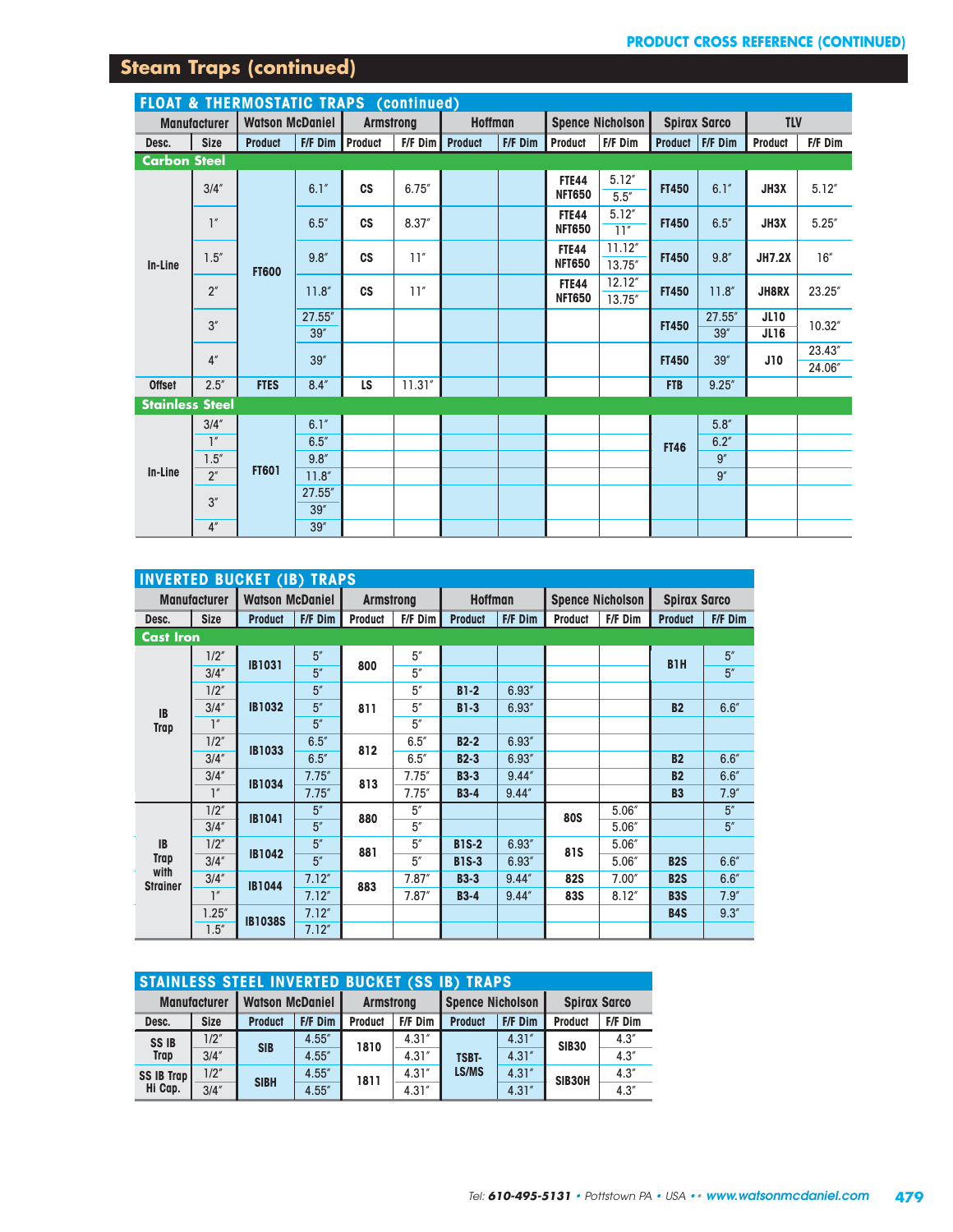# **Steam Traps (continued)**

|                        | <b>FLOAT &amp; THERMOSTATIC TRAPS (continued)</b> |                        |                        |                  |           |                |         |                               |                   |              |                     |                            |                  |
|------------------------|---------------------------------------------------|------------------------|------------------------|------------------|-----------|----------------|---------|-------------------------------|-------------------|--------------|---------------------|----------------------------|------------------|
|                        | <b>Manufacturer</b>                               | <b>Watson McDaniel</b> |                        | <b>Armstrong</b> |           | <b>Hoffman</b> |         |                               | Spence Nicholson  |              | <b>Spirax Sarco</b> | <b>TLV</b>                 |                  |
| Desc.                  | <b>Size</b>                                       | <b>Product</b>         | <b>F/F Dim Product</b> |                  | $F/F$ Dim | <b>Product</b> | F/F Dim | <b>Product</b>                | F/F Dim           |              | Product   F/F Dim   | Product                    | F/F Dim          |
| <b>Carbon Steel</b>    |                                                   |                        |                        |                  |           |                |         |                               |                   |              |                     |                            |                  |
|                        | 3/4''                                             |                        | 6.1''                  | <b>CS</b>        | 6.75''    |                |         | <b>FTE44</b><br><b>NFT650</b> | 5.12''<br>5.5''   | <b>FT450</b> | 6.1''               | JH3X                       | 5.12''           |
|                        | $\mathbb{I}''$                                    |                        | 6.5''                  | c <sub>S</sub>   | 8.37''    |                |         | <b>FTE44</b><br><b>NFT650</b> | 5.12''<br>11''    | <b>FT450</b> | 6.5''               | JH3X                       | 5.25''           |
| In-Line                | $1.5''$                                           | <b>FT600</b>           | 9.8''                  | c <sub>S</sub>   | 11''      |                |         | <b>FTE44</b><br><b>NFT650</b> | 11.12''<br>13.75" | <b>FT450</b> | 9.8''               | <b>JH7.2X</b>              | 16''             |
|                        | 2 <sup>''</sup>                                   |                        | 11.8''                 | c <sub>S</sub>   | 11''      |                |         | <b>FTE44</b><br><b>NFT650</b> | 12.12''<br>13.75" | <b>FT450</b> | 11.8''              | <b>JH8RX</b>               | 23.25"           |
|                        | 3''                                               |                        | 27.55"<br>39''         |                  |           |                |         |                               |                   | <b>FT450</b> | 27.55''<br>39''     | <b>JL10</b><br><b>JL16</b> | 10.32"           |
|                        | 4 <sup>''</sup>                                   |                        | 39''                   |                  |           |                |         |                               |                   | <b>FT450</b> | 39''                | J10                        | 23.43"<br>24.06" |
| <b>Offset</b>          | 2.5''                                             | <b>FTES</b>            | 8.4''                  | <b>LS</b>        | 11.31''   |                |         |                               |                   | <b>FTB</b>   | 9.25''              |                            |                  |
| <b>Stainless Steel</b> |                                                   |                        |                        |                  |           |                |         |                               |                   |              |                     |                            |                  |
|                        | 3/4''                                             |                        | 6.1''                  |                  |           |                |         |                               |                   |              | 5.8''               |                            |                  |
|                        | $\mathbb{I}''$                                    |                        | 6.5''                  |                  |           |                |         |                               |                   | <b>FT46</b>  | 6.2''               |                            |                  |
|                        | 1.5''                                             |                        | 9.8''                  |                  |           |                |         |                               |                   |              | $\overline{g''}$    |                            |                  |
| In-Line                | 2 <sup>''</sup>                                   | <b>FT601</b>           | 11.8''                 |                  |           |                |         |                               |                   |              | 9''                 |                            |                  |
|                        | 3''                                               |                        | 27.55"<br>39''         |                  |           |                |         |                               |                   |              |                     |                            |                  |
|                        | 4 <sup>''</sup>                                   |                        | 39''                   |                  |           |                |         |                               |                   |              |                     |                            |                  |

|                         |                     | <b>INVERTED BUCKET (IB) TRAPS</b> |         |                  |         |                |         |                |                         |                     |         |
|-------------------------|---------------------|-----------------------------------|---------|------------------|---------|----------------|---------|----------------|-------------------------|---------------------|---------|
|                         | <b>Manufacturer</b> | <b>Watson McDaniel</b>            |         | <b>Armstrong</b> |         | <b>Hoffman</b> |         |                | <b>Spence Nicholson</b> | <b>Spirax Sarco</b> |         |
| Desc.                   | <b>Size</b>         | <b>Product</b>                    | F/F Dim | <b>Product</b>   | F/F Dim | <b>Product</b> | F/F Dim | <b>Product</b> | F/F Dim                 | <b>Product</b>      | F/F Dim |
| <b>Cast Iron</b>        |                     |                                   |         |                  |         |                |         |                |                         |                     |         |
|                         | 1/2''               | <b>IB1031</b>                     | 5''     | 800              | 5''     |                |         |                |                         | B <sub>1</sub> H    | 5''     |
|                         | 3/4''               |                                   | 5''     |                  | 5''     |                |         |                |                         |                     | 5''     |
|                         | 1/2''               |                                   | 5''     |                  | 5''     | $B1-2$         | 6.93''  |                |                         |                     |         |
| <b>IB</b>               | 3/4''               | <b>IB1032</b>                     | 5''     | 811              | 5''     | $B1-3$         | 6.93''  |                |                         | <b>B2</b>           | 6.6''   |
| Trap                    | 1''                 |                                   | 5''     |                  | 5''     |                |         |                |                         |                     |         |
|                         | 1/2''               | <b>IB1033</b>                     | 6.5''   | 812              | 6.5''   | $B2-2$         | 6.93''  |                |                         |                     |         |
|                         | 3/4''               |                                   | 6.5''   |                  | 6.5''   | $B2-3$         | 6.93''  |                |                         | <b>B2</b>           | 6.6''   |
|                         | 3/4''               |                                   | 7.75''  | 813              | 7.75''  | <b>B3-3</b>    | 9.44''  |                |                         | <b>B2</b>           | 6.6''   |
|                         | $\mathbb{I}''$      | <b>IB1034</b>                     | 7.75''  |                  | 7.75''  | $B3-4$         | 9.44''  |                |                         | <b>B3</b>           | 7.9''   |
|                         | 1/2''               | <b>IB1041</b>                     | 5''     | 880              | 5''     |                |         | <b>80S</b>     | 5.06''                  |                     | 5''     |
|                         | 3/4''               |                                   | 5''     |                  | 5''     |                |         |                | 5.06''                  |                     | 5''     |
| <b>IB</b>               | 1/2''               | <b>IB1042</b>                     | 5''     | 881              | 5''     | <b>B1S-2</b>   | 6.93''  | <b>81S</b>     | 5.06''                  |                     |         |
| <b>Trap</b>             | 3/4''               |                                   | 5''     |                  | 5''     | <b>B1S-3</b>   | 6.93''  |                | 5.06''                  | <b>B2S</b>          | 6.6''   |
| with<br><b>Strainer</b> | 3/4''               | <b>IB1044</b>                     | 7.12''  | 883              | 7.87''  | <b>B3-3</b>    | 9.44''  | <b>82S</b>     | 7.00''                  | <b>B2S</b>          | 6.6''   |
|                         | 1''                 |                                   | 7.12''  |                  | 7.87''  | $B3-4$         | 9.44''  | <b>83S</b>     | 8.12''                  | <b>B3S</b>          | 7.9''   |
|                         | 1.25''              | <b>IB1038S</b>                    | 7.12''  |                  |         |                |         |                |                         | <b>B4S</b>          | 9.3''   |
|                         | 1.5''               |                                   | 7.12''  |                  |         |                |         |                |                         |                     |         |

|                   | <b>STAINLESS STEEL INVERTED BUCKET (SS IB) TRAPS</b> |                        |         |                |                  |                         |         |                     |         |  |  |  |
|-------------------|------------------------------------------------------|------------------------|---------|----------------|------------------|-------------------------|---------|---------------------|---------|--|--|--|
|                   | <b>Manufacturer</b>                                  | <b>Watson McDaniel</b> |         |                | <b>Armstrong</b> | <b>Spence Nicholson</b> |         | <b>Spirax Sarco</b> |         |  |  |  |
| Desc.             | <b>Size</b>                                          | <b>Product</b>         | F/F Dim | <b>Product</b> | F/F Dim          | <b>Product</b>          | F/F Dim | <b>Product</b>      | F/F Dim |  |  |  |
| <b>SSIB</b>       | 1/2''                                                | <b>SIB</b>             | 4.55''  | 1810           | 4.31''           |                         | 4.31''  | <b>SIB30</b>        | 4.3''   |  |  |  |
| <b>Trap</b>       | 3/4''                                                |                        | 4.55''  |                | 4.31''           | <b>TSBT-</b>            | 4.31''  |                     | 4.3''   |  |  |  |
| <b>SS IB Trap</b> | 1/2''                                                |                        | 4.55''  | 1811           | 4.31''           | <b>LS/MS</b>            | 4.31''  | SIB30H              | 4.3''   |  |  |  |
| Hi Cap.           | 3/4''                                                | <b>SIBH</b>            | 4.55''  |                | 4.31''           |                         | 4.31''  |                     | 4.3''   |  |  |  |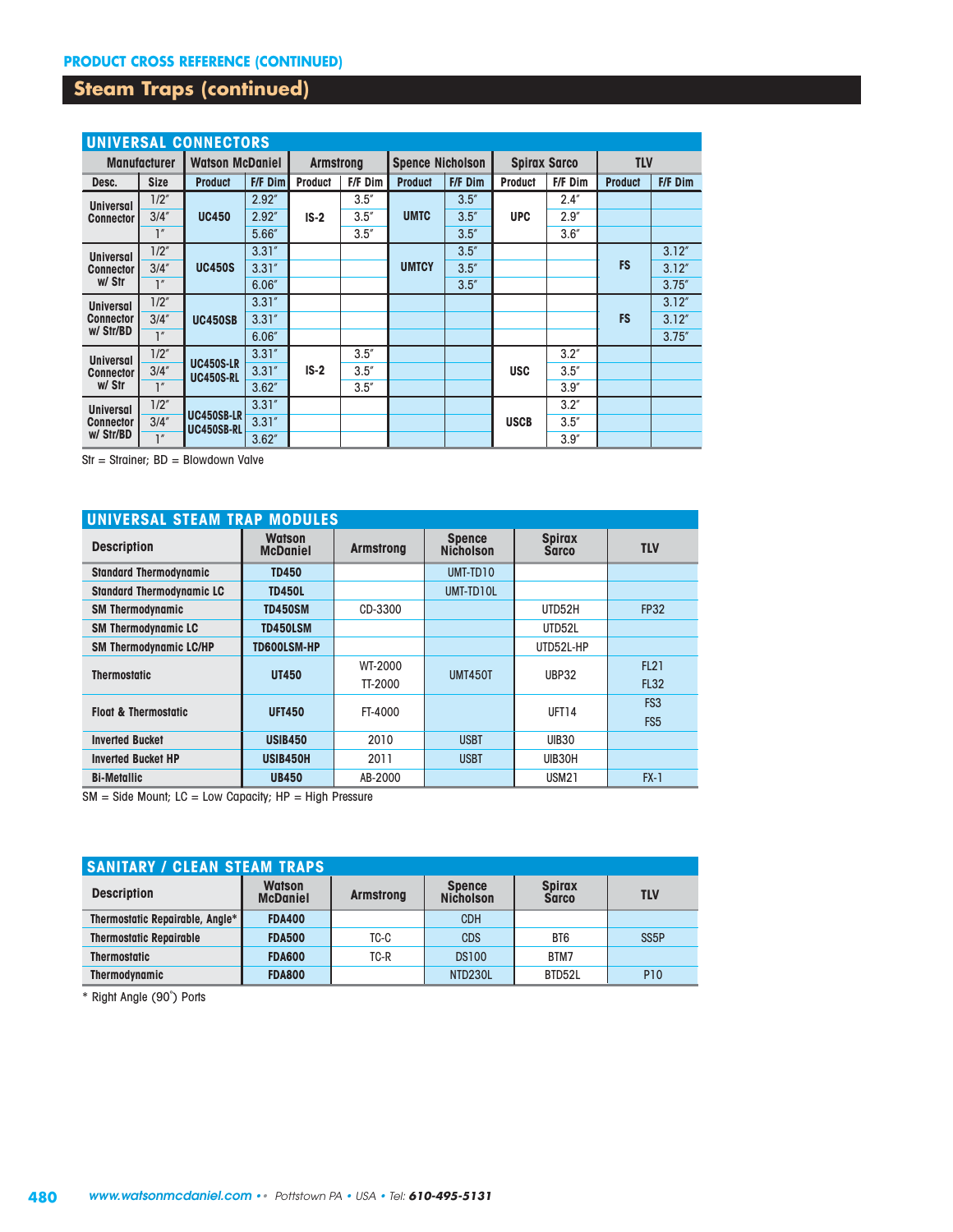### **Steam Traps (continued)**

|                                               | <b>UNIVERSAL CONNECTORS</b> |                                        |         |                  |         |                         |         |                     |         |                |         |
|-----------------------------------------------|-----------------------------|----------------------------------------|---------|------------------|---------|-------------------------|---------|---------------------|---------|----------------|---------|
|                                               | <b>Manufacturer</b>         | <b>Watson McDaniel</b>                 |         | <b>Armstrong</b> |         | <b>Spence Nicholson</b> |         | <b>Spirax Sarco</b> |         | <b>TLV</b>     |         |
| Desc.                                         | <b>Size</b>                 | <b>Product</b>                         | F/F Dim | <b>Product</b>   | F/F Dim | <b>Product</b>          | F/F Dim | <b>Product</b>      | F/F Dim | <b>Product</b> | F/F Dim |
| <b>Universal</b>                              | 1/2''                       |                                        | 2.92''  |                  | 3.5''   |                         | 3.5''   |                     | 2.4''   |                |         |
| <b>Connector</b>                              | 3/4''                       | <b>UC450</b>                           | 2.92''  | $IS-2$           | 3.5''   | <b>UMTC</b>             | 3.5''   | <b>UPC</b>          | 2.9''   |                |         |
|                                               | $\mathbb{I}''$              |                                        | 5.66''  |                  | 3.5''   |                         | 3.5''   |                     | 3.6''   |                |         |
| <b>Universal</b>                              | 1/2''                       |                                        | 3.31''  |                  |         |                         | 3.5''   |                     |         |                | 3.12''  |
| <b>Connector</b>                              | 3/4''                       | <b>UC450S</b>                          | 3.31''  |                  |         | <b>UMTCY</b>            | 3.5''   |                     |         | <b>FS</b>      | 3.12''  |
| w/ Str                                        | 1''                         |                                        | 6.06''  |                  |         |                         | 3.5''   |                     |         |                | 3.75''  |
| <b>Universal</b>                              | 1/2''                       | <b>UC450SB</b>                         | 3.31''  |                  |         |                         |         |                     |         |                | 3.12''  |
| <b>Connector</b>                              | 3/4''                       |                                        | 3.31''  |                  |         |                         |         |                     |         | <b>FS</b>      | 3.12''  |
| w/ Str/BD                                     | 1''                         |                                        | 6.06''  |                  |         |                         |         |                     |         |                | 3.75''  |
| <b>Universal</b>                              | 1/2''                       | <b>UC450S-LR</b>                       | 3.31''  |                  | 3.5''   |                         |         |                     | 3.2''   |                |         |
| <b>Connector</b>                              | 3/4''                       | <b>UC450S-RL</b>                       | 3.31''  | $IS-2$           | 3.5''   |                         |         | <b>USC</b>          | 3.5''   |                |         |
| w/ Str                                        | 1''                         |                                        | 3.62''  |                  | 3.5''   |                         |         |                     | 3.9''   |                |         |
| <b>Universal</b>                              | 1/2''                       |                                        | 3.31''  |                  |         |                         |         |                     | 3.2''   |                |         |
| 3/4''<br><b>Connector</b><br>w/ Str/BD<br>1'' |                             | <b>UC450SB-LR</b><br><b>UC450SB-RL</b> | 3.31''  |                  |         |                         |         | <b>USCB</b>         | 3.5''   |                |         |
|                                               |                             | 3.62''                                 |         |                  |         |                         |         | 3.9''               |         |                |         |

Str = Strainer; BD = Blowdown Valve

| UNIVERSAL STEAM TRAP MODULES     |                                  |                  |                                   |                               |                 |  |  |  |  |  |  |
|----------------------------------|----------------------------------|------------------|-----------------------------------|-------------------------------|-----------------|--|--|--|--|--|--|
| <b>Description</b>               | <b>Watson</b><br><b>McDaniel</b> | <b>Armstrong</b> | <b>Spence</b><br><b>Nicholson</b> | <b>Spirax</b><br><b>Sarco</b> | <b>TLV</b>      |  |  |  |  |  |  |
| <b>Standard Thermodynamic</b>    | <b>TD450</b>                     |                  | UMT-TD10                          |                               |                 |  |  |  |  |  |  |
| <b>Standard Thermodynamic LC</b> | <b>TD450L</b>                    |                  | UMT-TD10L                         |                               |                 |  |  |  |  |  |  |
| <b>SM Thermodynamic</b>          | <b>TD450SM</b>                   | CD-3300          |                                   | UTD52H                        | <b>FP32</b>     |  |  |  |  |  |  |
| <b>SM Thermodynamic LC</b>       | <b>TD450LSM</b>                  |                  |                                   | UTD52L                        |                 |  |  |  |  |  |  |
| <b>SM Thermodynamic LC/HP</b>    | TD600LSM-HP                      |                  |                                   | UTD52L-HP                     |                 |  |  |  |  |  |  |
| <b>Thermostatic</b>              | <b>UT450</b>                     | WT-2000          | <b>UMT450T</b>                    | UBP32                         | <b>FL21</b>     |  |  |  |  |  |  |
|                                  |                                  | TT-2000          |                                   |                               | <b>FL32</b>     |  |  |  |  |  |  |
| <b>Float &amp; Thermostatic</b>  | <b>UFT450</b>                    | FT-4000          |                                   | <b>UFT14</b>                  | FS3             |  |  |  |  |  |  |
|                                  |                                  |                  |                                   |                               | FS <sub>5</sub> |  |  |  |  |  |  |
| <b>Inverted Bucket</b>           | <b>USIB450</b>                   | 2010             | <b>USBT</b>                       | <b>UIB30</b>                  |                 |  |  |  |  |  |  |
| <b>Inverted Bucket HP</b>        | <b>USIB450H</b>                  | 2011             | <b>USBT</b>                       | UIB30H                        |                 |  |  |  |  |  |  |
| <b>Bi-Metallic</b>               | <b>UB450</b>                     | AB-2000          |                                   | <b>USM21</b>                  | $FX-1$          |  |  |  |  |  |  |

 $SM =$  Side Mount; LC = Low Capacity; HP = High Pressure

| <b>SANITARY / CLEAN STEAM TRAPS</b> |                                  |                  |                                   |                               |                   |  |  |  |  |  |  |
|-------------------------------------|----------------------------------|------------------|-----------------------------------|-------------------------------|-------------------|--|--|--|--|--|--|
| <b>Description</b>                  | <b>Watson</b><br><b>McDaniel</b> | <b>Armstrong</b> | <b>Spence</b><br><b>Nicholson</b> | <b>Spirax</b><br><b>Sarco</b> | <b>TLV</b>        |  |  |  |  |  |  |
| Thermostatic Repairable, Angle*     | <b>FDA400</b>                    |                  | <b>CDH</b>                        |                               |                   |  |  |  |  |  |  |
| <b>Thermostatic Repairable</b>      | <b>FDA500</b>                    | TC-C             | <b>CDS</b>                        | BT6                           | SS <sub>5</sub> P |  |  |  |  |  |  |
| <b>Thermostatic</b>                 | <b>FDA600</b>                    | TC-R             | <b>DS100</b>                      | BTM7                          |                   |  |  |  |  |  |  |
| <b>Thermodynamic</b>                | <b>FDA800</b>                    |                  | <b>NTD230L</b>                    | BTD52L                        | <b>P10</b>        |  |  |  |  |  |  |

\* Right Angle (90˚) Ports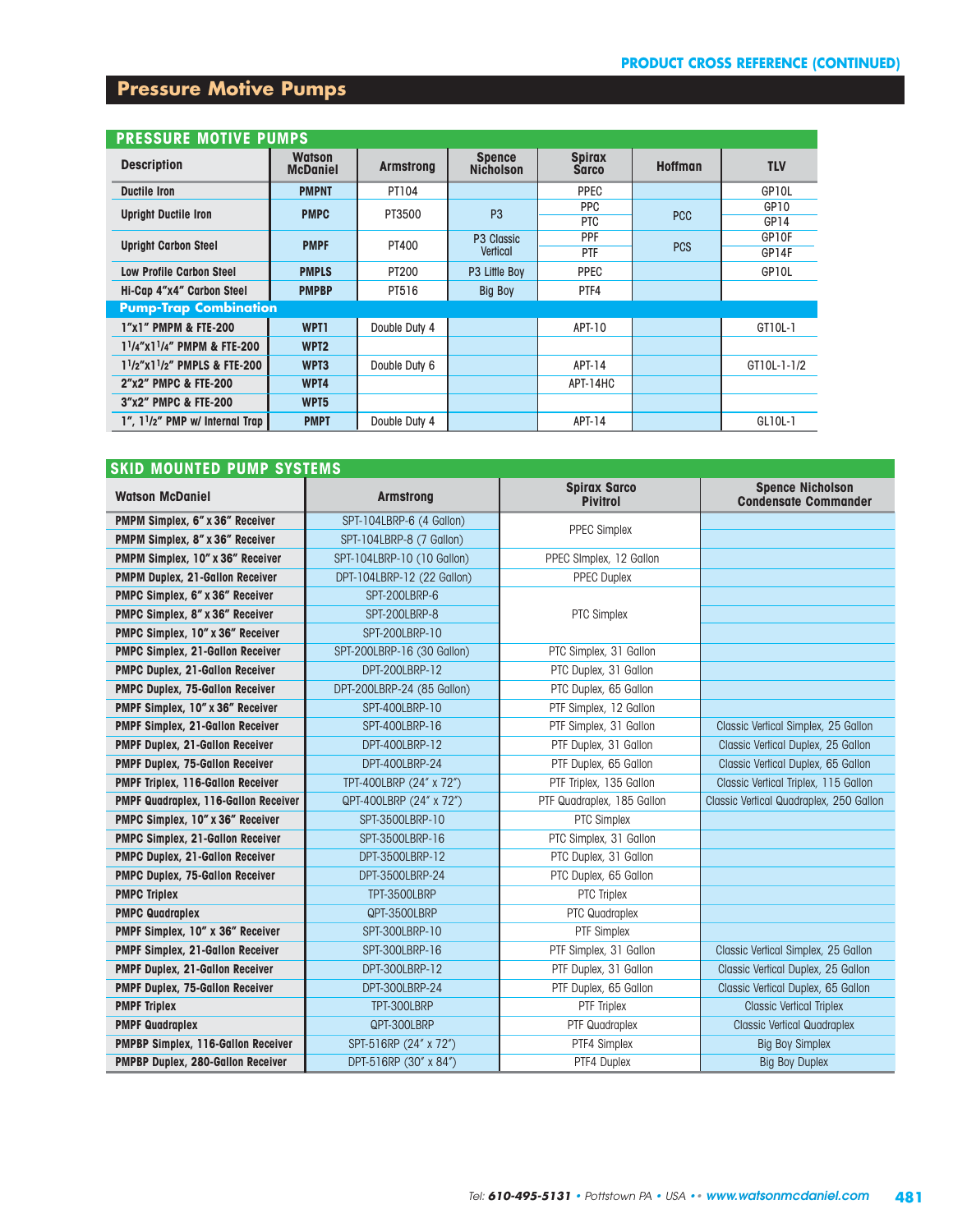### **Pressure Motive Pumps**

| <b>PRESSURE MOTIVE PUMPS</b>                          |                                  |                  |                                   |                               |                |                  |  |  |  |  |  |
|-------------------------------------------------------|----------------------------------|------------------|-----------------------------------|-------------------------------|----------------|------------------|--|--|--|--|--|
| <b>Description</b>                                    | <b>Watson</b><br><b>McDaniel</b> | <b>Armstrong</b> | <b>Spence</b><br><b>Nicholson</b> | <b>Spirax</b><br><b>Sarco</b> | <b>Hoffman</b> | <b>TLV</b>       |  |  |  |  |  |
| <b>Ductile Iron</b>                                   | <b>PMPNT</b>                     | PT104            |                                   | PPEC                          |                | GP10L            |  |  |  |  |  |
| <b>Upright Ductile Iron</b>                           | <b>PMPC</b>                      | PT3500           | P <sub>3</sub>                    | <b>PPC</b>                    | <b>PCC</b>     | GP <sub>10</sub> |  |  |  |  |  |
|                                                       |                                  |                  |                                   | <b>PTC</b>                    |                | GP14             |  |  |  |  |  |
| <b>Upright Carbon Steel</b>                           | <b>PMPF</b>                      | PT400            | P <sub>3</sub> Classic            | PPF                           | <b>PCS</b>     | GP10F            |  |  |  |  |  |
|                                                       |                                  |                  | Vertical                          | PTF                           |                | GP14F            |  |  |  |  |  |
| <b>Low Profile Carbon Steel</b>                       | <b>PMPLS</b>                     | PT200            | P3 Little Boy                     | <b>PPEC</b>                   |                | GP10L            |  |  |  |  |  |
| Hi-Cap 4"x4" Carbon Steel                             | <b>PMPBP</b>                     | PT516            | <b>Big Boy</b>                    | PTF4                          |                |                  |  |  |  |  |  |
| <b>Pump-Trap Combination</b>                          |                                  |                  |                                   |                               |                |                  |  |  |  |  |  |
| 1"x1" PMPM & FTE-200                                  | WPT1                             | Double Duty 4    |                                   | APT-10                        |                | GT10L-1          |  |  |  |  |  |
| 1 <sup>1</sup> /4"x1 <sup>1</sup> /4" PMPM & FTE-200  | WPT <sub>2</sub>                 |                  |                                   |                               |                |                  |  |  |  |  |  |
| 1 <sup>1</sup> /2"x1 <sup>1</sup> /2" PMPLS & FTE-200 | WPT3                             | Double Duty 6    |                                   | APT-14                        |                | GT10L-1-1/2      |  |  |  |  |  |
| 2"x2" PMPC & FTE-200                                  | WPT4                             |                  |                                   | APT-14HC                      |                |                  |  |  |  |  |  |
| 3"x2" PMPC & FTE-200                                  | WPT5                             |                  |                                   |                               |                |                  |  |  |  |  |  |
| 1". 11/2" PMP w/ Internal Trap                        | <b>PMPT</b>                      | Double Duty 4    |                                   | APT-14                        |                | GL10L-1          |  |  |  |  |  |

| <b>SKID MOUNTED PUMP SYSTEMS</b>         |                            |                                        |                                                        |
|------------------------------------------|----------------------------|----------------------------------------|--------------------------------------------------------|
| <b>Watson McDaniel</b>                   | <b>Armstrong</b>           | <b>Spirax Sarco</b><br><b>Pivitrol</b> | <b>Spence Nicholson</b><br><b>Condensate Commander</b> |
| PMPM Simplex, 6" x 36" Receiver          | SPT-104LBRP-6 (4 Gallon)   | <b>PPEC Simplex</b>                    |                                                        |
| PMPM Simplex, 8" x 36" Receiver          | SPT-104LBRP-8 (7 Gallon)   |                                        |                                                        |
| PMPM Simplex, 10" x 36" Receiver         | SPT-104LBRP-10 (10 Gallon) | PPEC SImplex, 12 Gallon                |                                                        |
| PMPM Duplex, 21-Gallon Receiver          | DPT-104LBRP-12 (22 Gallon) | <b>PPEC Duplex</b>                     |                                                        |
| PMPC Simplex, 6" x 36" Receiver          | SPT-200LBRP-6              |                                        |                                                        |
| PMPC Simplex, 8" x 36" Receiver          | SPT-200LBRP-8              | <b>PTC Simplex</b>                     |                                                        |
| PMPC Simplex, 10" x 36" Receiver         | SPT-200LBRP-10             |                                        |                                                        |
| <b>PMPC Simplex, 21-Gallon Receiver</b>  | SPT-200LBRP-16 (30 Gallon) | PTC Simplex, 31 Gallon                 |                                                        |
| <b>PMPC Duplex, 21-Gallon Receiver</b>   | DPT-200LBRP-12             | PTC Duplex, 31 Gallon                  |                                                        |
| <b>PMPC Duplex, 75-Gallon Receiver</b>   | DPT-200LBRP-24 (85 Gallon) | PTC Duplex, 65 Gallon                  |                                                        |
| PMPF Simplex, 10" x 36" Receiver         | SPT-400LBRP-10             | PTF Simplex, 12 Gallon                 |                                                        |
| <b>PMPF Simplex, 21-Gallon Receiver</b>  | SPT-400LBRP-16             | PTF Simplex, 31 Gallon                 | Classic Vertical Simplex, 25 Gallon                    |
| <b>PMPF Duplex, 21-Gallon Receiver</b>   | DPT-400LBRP-12             | PTF Duplex, 31 Gallon                  | Classic Vertical Duplex, 25 Gallon                     |
| PMPF Duplex, 75-Gallon Receiver          | DPT-400LBRP-24             | PTF Duplex, 65 Gallon                  | Classic Vertical Duplex, 65 Gallon                     |
| <b>PMPF Triplex, 116-Gallon Receiver</b> | TPT-400LBRP (24" x 72")    | PTF Triplex, 135 Gallon                | Classic Vertical Triplex, 115 Gallon                   |
| PMPF Quadraplex, 116-Gallon Receiver     | QPT-400LBRP (24" x 72")    | PTF Quadraplex, 185 Gallon             | Classic Vertical Quadraplex, 250 Gallon                |
| PMPC Simplex, 10" x 36" Receiver         | SPT-3500LBRP-10            | PTC Simplex                            |                                                        |
| <b>PMPC Simplex, 21-Gallon Receiver</b>  | SPT-3500LBRP-16            | PTC Simplex, 31 Gallon                 |                                                        |
| PMPC Duplex, 21-Gallon Receiver          | DPT-3500LBRP-12            | PTC Duplex, 31 Gallon                  |                                                        |
| <b>PMPC Duplex, 75-Gallon Receiver</b>   | DPT-3500LBRP-24            | PTC Duplex, 65 Gallon                  |                                                        |
| <b>PMPC Triplex</b>                      | TPT-3500LBRP               | <b>PTC Triplex</b>                     |                                                        |
| <b>PMPC Quadraplex</b>                   | QPT-3500LBRP               | PTC Quadraplex                         |                                                        |
| PMPF Simplex, 10" x 36" Receiver         | SPT-300LBRP-10             | PTF Simplex                            |                                                        |
| <b>PMPF Simplex, 21-Gallon Receiver</b>  | SPT-300LBRP-16             | PTF Simplex, 31 Gallon                 | Classic Vertical Simplex, 25 Gallon                    |
| PMPF Duplex, 21-Gallon Receiver          | DPT-300LBRP-12             | PTF Duplex, 31 Gallon                  | Classic Vertical Duplex, 25 Gallon                     |
| <b>PMPF Duplex, 75-Gallon Receiver</b>   | DPT-300LBRP-24             | PTF Duplex, 65 Gallon                  | Classic Vertical Duplex, 65 Gallon                     |
| <b>PMPF Triplex</b>                      | TPT-300LBRP                | <b>PTF Triplex</b>                     | <b>Classic Vertical Triplex</b>                        |
| <b>PMPF Quadraplex</b>                   | QPT-300LBRP                | PTF Quadraplex                         | <b>Classic Vertical Quadraplex</b>                     |
| PMPBP Simplex, 116-Gallon Receiver       | SPT-516RP (24" x 72")      | PTF4 Simplex                           | <b>Big Boy Simplex</b>                                 |
| PMPBP Duplex, 280-Gallon Receiver        | DPT-516RP (30" x 84")      | PTF4 Duplex                            | <b>Big Boy Duplex</b>                                  |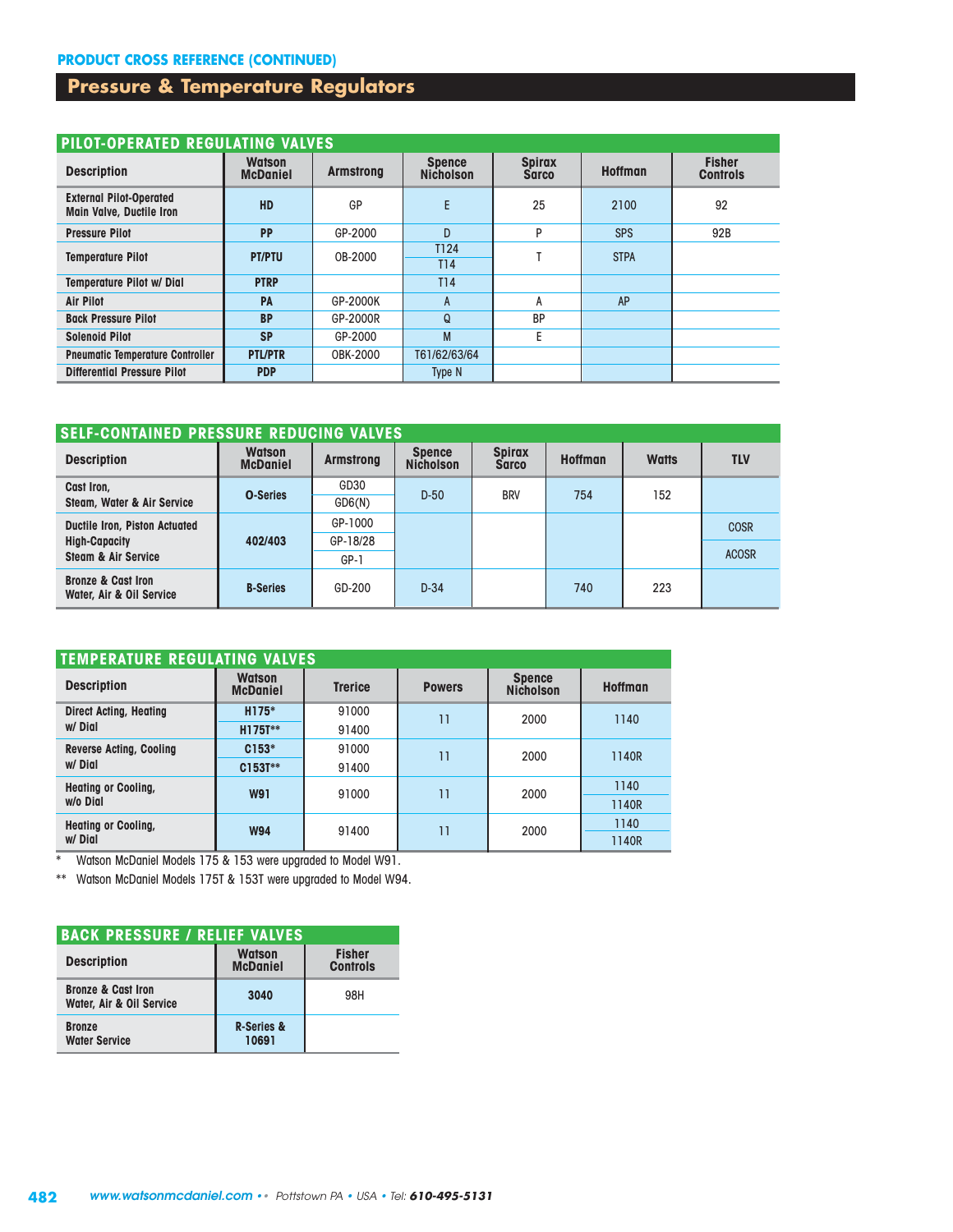## **Pressure & Temperature Regulators**

|                                                                   | PILOT-OPERATED REGULATING VALVES |                  |                                   |                               |                |                                  |  |  |  |  |  |  |
|-------------------------------------------------------------------|----------------------------------|------------------|-----------------------------------|-------------------------------|----------------|----------------------------------|--|--|--|--|--|--|
| <b>Description</b>                                                | <b>Watson</b><br><b>McDaniel</b> | <b>Armstrong</b> | <b>Spence</b><br><b>Nicholson</b> | <b>Spirax</b><br><b>Sarco</b> | <b>Hoffman</b> | <b>Fisher</b><br><b>Controls</b> |  |  |  |  |  |  |
| <b>External Pilot-Operated</b><br><b>Main Valve, Ductile Iron</b> | <b>HD</b>                        | GP               | E                                 | 25                            | 2100           | 92                               |  |  |  |  |  |  |
| <b>Pressure Pilot</b>                                             | <b>PP</b>                        | GP-2000          | D                                 | P                             | <b>SPS</b>     | 92B                              |  |  |  |  |  |  |
| <b>Temperature Pilot</b>                                          | <b>PT/PTU</b>                    | 0B-2000          | T124<br>T14                       |                               | <b>STPA</b>    |                                  |  |  |  |  |  |  |
| <b>Temperature Pilot w/ Dial</b>                                  | <b>PTRP</b>                      |                  | T14                               |                               |                |                                  |  |  |  |  |  |  |
| <b>Air Pilot</b>                                                  | PA                               | GP-2000K         | A                                 | А                             | AP             |                                  |  |  |  |  |  |  |
| <b>Back Pressure Pilot</b>                                        | <b>BP</b>                        | GP-2000R         | Q                                 | <b>BP</b>                     |                |                                  |  |  |  |  |  |  |
| <b>Solenoid Pilot</b>                                             | <b>SP</b>                        | GP-2000          | M                                 | E                             |                |                                  |  |  |  |  |  |  |
| <b>Pneumatic Temperature Controller</b>                           | <b>PTL/PTR</b>                   | OBK-2000         | T61/62/63/64                      |                               |                |                                  |  |  |  |  |  |  |
| <b>Differential Pressure Pilot</b>                                | <b>PDP</b>                       |                  | Type N                            |                               |                |                                  |  |  |  |  |  |  |

#### **SELF-CONTAINED PRESSURE REDUCING VALVES**

| <b>Description</b>                                        | <b>Watson</b><br><b>McDaniel</b> | <b>Armstrong</b> | <b>Spence</b><br><b>Nicholson</b> | <b>Spirax</b><br><b>Sarco</b> | <b>Hoffman</b> | <b>Watts</b> | <b>TLV</b>   |
|-----------------------------------------------------------|----------------------------------|------------------|-----------------------------------|-------------------------------|----------------|--------------|--------------|
| Cast Iron,                                                | <b>O-Series</b>                  | GD30             | $D-50$                            | <b>BRV</b>                    | 754            | 152          |              |
| Steam, Water & Air Service                                |                                  | GDS(N)           |                                   |                               |                |              |              |
| <b>Ductile Iron, Piston Actuated</b>                      |                                  | GP-1000          |                                   |                               |                |              | <b>COSR</b>  |
| <b>High-Capacity</b>                                      | 402/403                          | GP-18/28         |                                   |                               |                |              |              |
| <b>Steam &amp; Air Service</b>                            |                                  | GP-1             |                                   |                               |                |              | <b>ACOSR</b> |
| <b>Bronze &amp; Cast Iron</b><br>Water, Air & Oil Service | <b>B-Series</b>                  | GD-200           | $D-34$                            |                               | 740            | 223          |              |

| <b>TEMPERATURE REGULATING VALVES</b>      |                                  |                |               |                                   |                |  |
|-------------------------------------------|----------------------------------|----------------|---------------|-----------------------------------|----------------|--|
| <b>Description</b>                        | <b>Watson</b><br><b>McDaniel</b> | <b>Trerice</b> | <b>Powers</b> | <b>Spence</b><br><b>Nicholson</b> | <b>Hoffman</b> |  |
| <b>Direct Acting, Heating</b>             | H175*                            | 91000          | 11            | 2000                              | 1140           |  |
| w/ Dial                                   | H175T**                          | 91400          |               |                                   |                |  |
| <b>Reverse Acting, Cooling</b><br>w/ Dial | $C153*$                          | 91000          | 11            | 2000                              | 1140R          |  |
|                                           | C153T**                          | 91400          |               |                                   |                |  |
| <b>Heating or Cooling,</b><br>w/o Dial    | <b>W91</b>                       | 91000          | 11            | 2000                              | 1140           |  |
|                                           |                                  |                |               |                                   | 1140R          |  |
| <b>Heating or Cooling,</b><br>w/ Dial     | <b>W94</b>                       | 91400          | 11            | 2000                              | 1140           |  |
|                                           |                                  |                |               |                                   | 1140R          |  |

\* Watson McDaniel Models 175 & 153 were upgraded to Model W91.

\*\* Watson McDaniel Models 175T & 153T were upgraded to Model W94.

| <b>BACK PRESSURE / RELIEF VALVES</b>                      |                                  |                                  |  |  |  |  |
|-----------------------------------------------------------|----------------------------------|----------------------------------|--|--|--|--|
| <b>Description</b>                                        | <b>Watson</b><br><b>McDaniel</b> | <b>Fisher</b><br><b>Controls</b> |  |  |  |  |
| <b>Bronze &amp; Cast Iron</b><br>Water, Air & Oil Service | 3040                             | 98H                              |  |  |  |  |
| <b>Bronze</b><br><b>Water Service</b>                     | <b>R-Series &amp;</b><br>10691   |                                  |  |  |  |  |